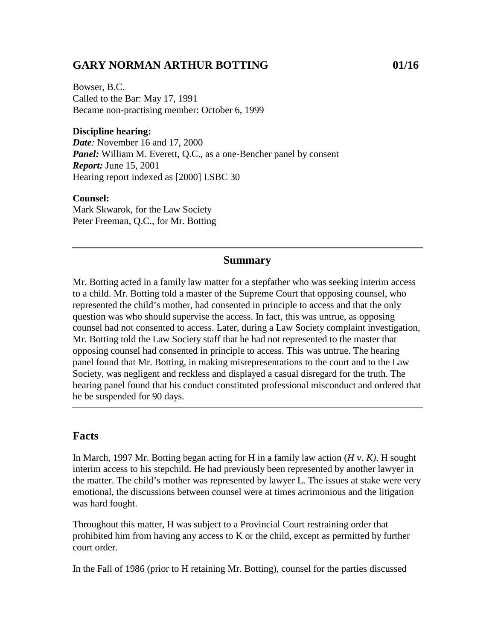## **GARY NORMAN ARTHUR BOTTING 01/16**

Bowser, B.C. Called to the Bar: May 17, 1991 Became non-practising member: October 6, 1999

#### **Discipline hearing:**

*Date:* November 16 and 17, 2000 **Panel:** William M. Everett, Q.C., as a one-Bencher panel by consent *Report:* June 15, 2001 Hearing report indexed as [2000] LSBC 30

#### **Counsel:**

Mark Skwarok, for the Law Society Peter Freeman, Q.C., for Mr. Botting

#### **Summary**

Mr. Botting acted in a family law matter for a stepfather who was seeking interim access to a child. Mr. Botting told a master of the Supreme Court that opposing counsel, who represented the child's mother, had consented in principle to access and that the only question was who should supervise the access. In fact, this was untrue, as opposing counsel had not consented to access. Later, during a Law Society complaint investigation, Mr. Botting told the Law Society staff that he had not represented to the master that opposing counsel had consented in principle to access. This was untrue. The hearing panel found that Mr. Botting, in making misrepresentations to the court and to the Law Society, was negligent and reckless and displayed a casual disregard for the truth. The hearing panel found that his conduct constituted professional misconduct and ordered that he be suspended for 90 days.

### **Facts**

In March, 1997 Mr. Botting began acting for H in a family law action (*H* v. *K)*. H sought interim access to his stepchild. He had previously been represented by another lawyer in the matter. The child's mother was represented by lawyer L. The issues at stake were very emotional, the discussions between counsel were at times acrimonious and the litigation was hard fought.

Throughout this matter, H was subject to a Provincial Court restraining order that prohibited him from having any access to K or the child, except as permitted by further court order.

In the Fall of 1986 (prior to H retaining Mr. Botting), counsel for the parties discussed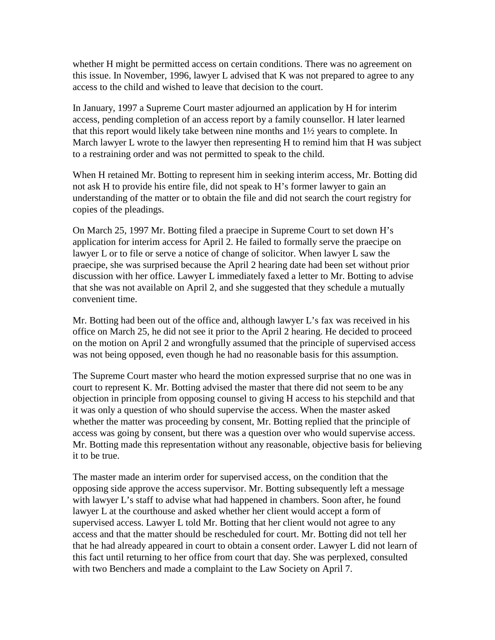whether H might be permitted access on certain conditions. There was no agreement on this issue. In November, 1996, lawyer L advised that K was not prepared to agree to any access to the child and wished to leave that decision to the court.

In January, 1997 a Supreme Court master adjourned an application by H for interim access, pending completion of an access report by a family counsellor. H later learned that this report would likely take between nine months and 1½ years to complete. In March lawyer L wrote to the lawyer then representing H to remind him that H was subject to a restraining order and was not permitted to speak to the child.

When H retained Mr. Botting to represent him in seeking interim access, Mr. Botting did not ask H to provide his entire file, did not speak to H's former lawyer to gain an understanding of the matter or to obtain the file and did not search the court registry for copies of the pleadings.

On March 25, 1997 Mr. Botting filed a praecipe in Supreme Court to set down H's application for interim access for April 2. He failed to formally serve the praecipe on lawyer L or to file or serve a notice of change of solicitor. When lawyer L saw the praecipe, she was surprised because the April 2 hearing date had been set without prior discussion with her office. Lawyer L immediately faxed a letter to Mr. Botting to advise that she was not available on April 2, and she suggested that they schedule a mutually convenient time.

Mr. Botting had been out of the office and, although lawyer L's fax was received in his office on March 25, he did not see it prior to the April 2 hearing. He decided to proceed on the motion on April 2 and wrongfully assumed that the principle of supervised access was not being opposed, even though he had no reasonable basis for this assumption.

The Supreme Court master who heard the motion expressed surprise that no one was in court to represent K. Mr. Botting advised the master that there did not seem to be any objection in principle from opposing counsel to giving H access to his stepchild and that it was only a question of who should supervise the access. When the master asked whether the matter was proceeding by consent, Mr. Botting replied that the principle of access was going by consent, but there was a question over who would supervise access. Mr. Botting made this representation without any reasonable, objective basis for believing it to be true.

The master made an interim order for supervised access, on the condition that the opposing side approve the access supervisor. Mr. Botting subsequently left a message with lawyer L's staff to advise what had happened in chambers. Soon after, he found lawyer L at the courthouse and asked whether her client would accept a form of supervised access. Lawyer L told Mr. Botting that her client would not agree to any access and that the matter should be rescheduled for court. Mr. Botting did not tell her that he had already appeared in court to obtain a consent order. Lawyer L did not learn of this fact until returning to her office from court that day. She was perplexed, consulted with two Benchers and made a complaint to the Law Society on April 7.